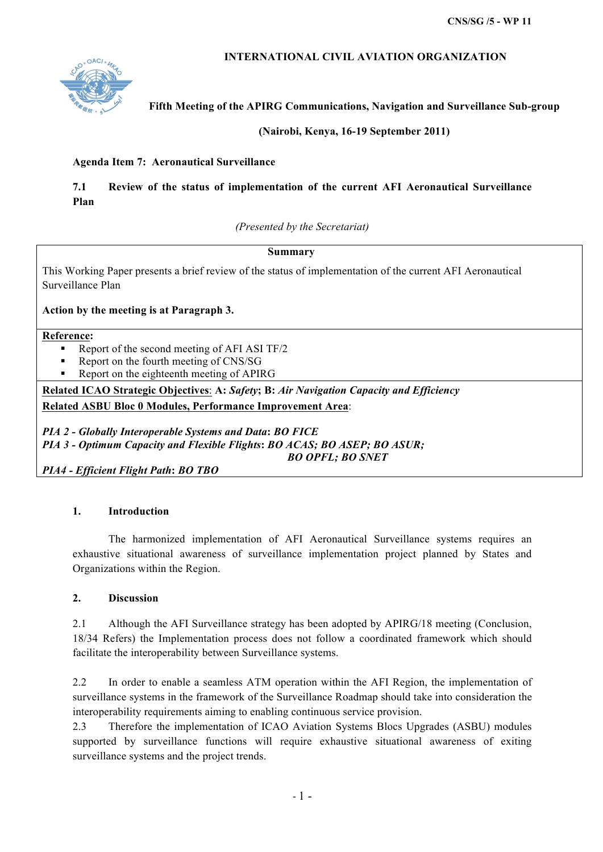## **INTERNATIONAL CIVIL AVIATION ORGANIZATION**



**Fifth Meeting of the APIRG Communications, Navigation and Surveillance Sub-group** 

**(Nairobi, Kenya, 16-19 September 2011)**

### **Agenda Item 7: Aeronautical Surveillance**

# **7.1 Review of the status of implementation of the current AFI Aeronautical Surveillance Plan**

*(Presented by the Secretariat)*

### **Summary**

This Working Paper presents a brief review of the status of implementation of the current AFI Aeronautical Surveillance Plan

**Action by the meeting is at Paragraph 3.**

#### **Reference:**

- § Report of the second meeting of AFI ASI TF/2
- § Report on the fourth meeting of CNS/SG
- § Report on the eighteenth meeting of APIRG

**Related ICAO Strategic Objectives**: **A:** *Safety***; B:** *Air Navigation Capacity and Efficiency*  **Related ASBU Bloc 0 Modules, Performance Improvement Area**:

*PIA 2 - Globally Interoperable Systems and Data***:** *BO FICE PIA 3 - Optimum Capacity and Flexible Flights***:** *BO ACAS; BO ASEP; BO ASUR; BO OPFL; BO SNET* 

*PIA4 - Efficient Flight Path***:** *BO TBO*

## **1. Introduction**

The harmonized implementation of AFI Aeronautical Surveillance systems requires an exhaustive situational awareness of surveillance implementation project planned by States and Organizations within the Region.

### **2. Discussion**

2.1 Although the AFI Surveillance strategy has been adopted by APIRG/18 meeting (Conclusion, 18/34 Refers) the Implementation process does not follow a coordinated framework which should facilitate the interoperability between Surveillance systems.

2.2 In order to enable a seamless ATM operation within the AFI Region, the implementation of surveillance systems in the framework of the Surveillance Roadmap should take into consideration the interoperability requirements aiming to enabling continuous service provision.

2.3 Therefore the implementation of ICAO Aviation Systems Blocs Upgrades (ASBU) modules supported by surveillance functions will require exhaustive situational awareness of exiting surveillance systems and the project trends.